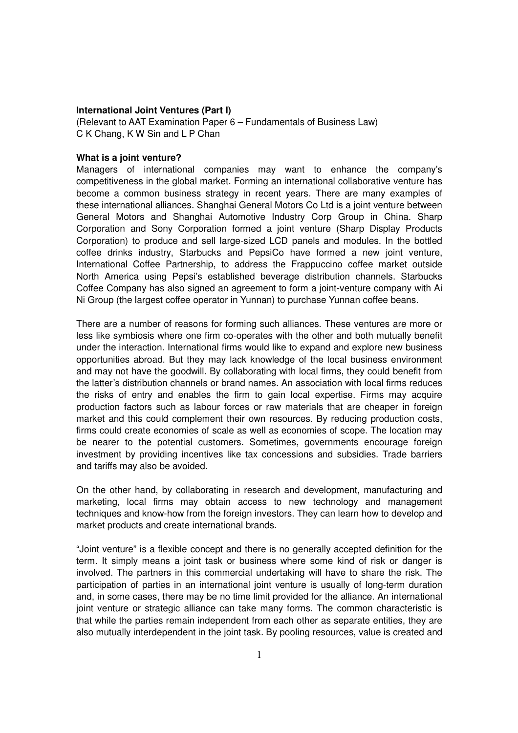## **International Joint Ventures (Part I)**

(Relevant to AAT Examination Paper 6 – Fundamentals of Business Law) C K Chang, K W Sin and L P Chan

## **What is a joint venture?**

Managers of international companies may want to enhance the company's competitiveness in the global market. Forming an international collaborative venture has become a common business strategy in recent years. There are many examples of these international alliances. Shanghai General Motors Co Ltd is a joint venture between General Motors and Shanghai Automotive Industry Corp Group in China. Sharp Corporation and Sony Corporation formed a joint venture (Sharp Display Products Corporation) to produce and sell large-sized LCD panels and modules. In the bottled coffee drinks industry, Starbucks and PepsiCo have formed a new joint venture, International Coffee Partnership, to address the Frappuccino coffee market outside North America using Pepsi's established beverage distribution channels. Starbucks Coffee Company has also signed an agreement to form a joint-venture company with Ai Ni Group (the largest coffee operator in Yunnan) to purchase Yunnan coffee beans.

There are a number of reasons for forming such alliances. These ventures are more or less like symbiosis where one firm co-operates with the other and both mutually benefit under the interaction. International firms would like to expand and explore new business opportunities abroad. But they may lack knowledge of the local business environment and may not have the goodwill. By collaborating with local firms, they could benefit from the latter's distribution channels or brand names. An association with local firms reduces the risks of entry and enables the firm to gain local expertise. Firms may acquire production factors such as labour forces or raw materials that are cheaper in foreign market and this could complement their own resources. By reducing production costs, firms could create economies of scale as well as economies of scope. The location may be nearer to the potential customers. Sometimes, governments encourage foreign investment by providing incentives like tax concessions and subsidies. Trade barriers and tariffs may also be avoided.

On the other hand, by collaborating in research and development, manufacturing and marketing, local firms may obtain access to new technology and management techniques and know-how from the foreign investors. They can learn how to develop and market products and create international brands.

"Joint venture" is a flexible concept and there is no generally accepted definition for the term. It simply means a joint task or business where some kind of risk or danger is involved. The partners in this commercial undertaking will have to share the risk. The participation of parties in an international joint venture is usually of long-term duration and, in some cases, there may be no time limit provided for the alliance. An international joint venture or strategic alliance can take many forms. The common characteristic is that while the parties remain independent from each other as separate entities, they are also mutually interdependent in the joint task. By pooling resources, value is created and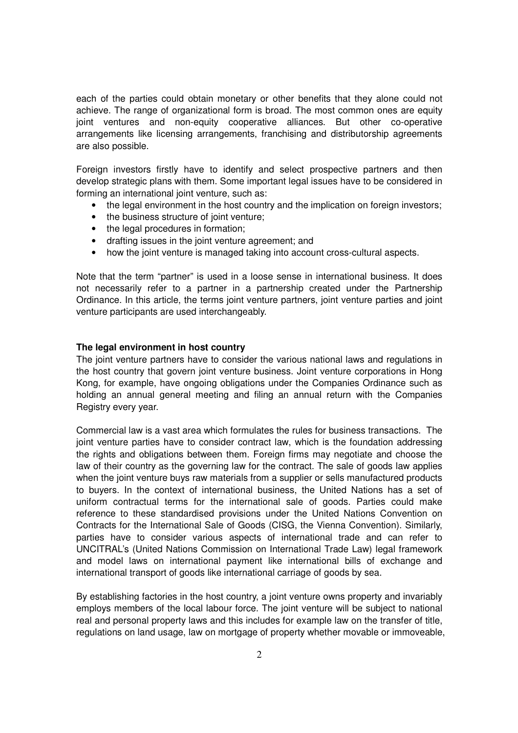each of the parties could obtain monetary or other benefits that they alone could not achieve. The range of organizational form is broad. The most common ones are equity joint ventures and non-equity cooperative alliances. But other co-operative arrangements like licensing arrangements, franchising and distributorship agreements are also possible.

Foreign investors firstly have to identify and select prospective partners and then develop strategic plans with them. Some important legal issues have to be considered in forming an international joint venture, such as:

- the legal environment in the host country and the implication on foreign investors;
- the business structure of joint venture:
- the legal procedures in formation:
- drafting issues in the joint venture agreement; and
- how the joint venture is managed taking into account cross-cultural aspects.

Note that the term "partner" is used in a loose sense in international business. It does not necessarily refer to a partner in a partnership created under the Partnership Ordinance. In this article, the terms joint venture partners, joint venture parties and joint venture participants are used interchangeably.

## **The legal environment in host country**

The joint venture partners have to consider the various national laws and regulations in the host country that govern joint venture business. Joint venture corporations in Hong Kong, for example, have ongoing obligations under the Companies Ordinance such as holding an annual general meeting and filing an annual return with the Companies Registry every year.

Commercial law is a vast area which formulates the rules for business transactions. The joint venture parties have to consider contract law, which is the foundation addressing the rights and obligations between them. Foreign firms may negotiate and choose the law of their country as the governing law for the contract. The sale of goods law applies when the joint venture buys raw materials from a supplier or sells manufactured products to buyers. In the context of international business, the United Nations has a set of uniform contractual terms for the international sale of goods. Parties could make reference to these standardised provisions under the United Nations Convention on Contracts for the International Sale of Goods (CISG, the Vienna Convention). Similarly, parties have to consider various aspects of international trade and can refer to UNCITRAL's (United Nations Commission on International Trade Law) legal framework and model laws on international payment like international bills of exchange and international transport of goods like international carriage of goods by sea.

By establishing factories in the host country, a joint venture owns property and invariably employs members of the local labour force. The joint venture will be subject to national real and personal property laws and this includes for example law on the transfer of title, regulations on land usage, law on mortgage of property whether movable or immoveable,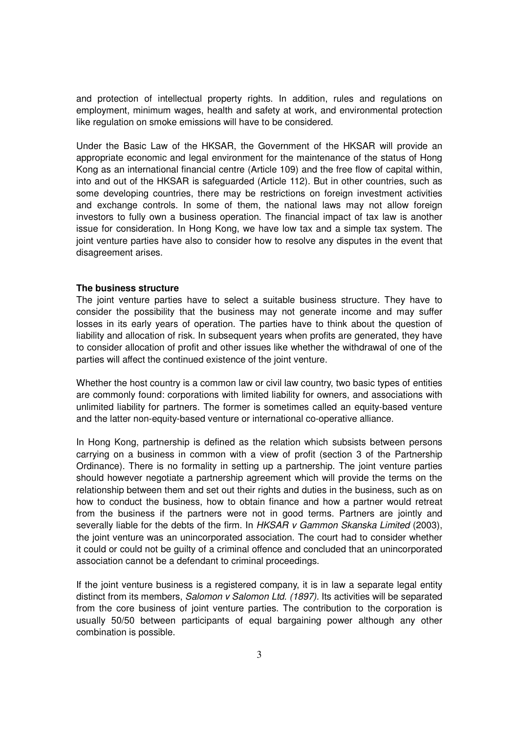and protection of intellectual property rights. In addition, rules and regulations on employment, minimum wages, health and safety at work, and environmental protection like regulation on smoke emissions will have to be considered.

Under the Basic Law of the HKSAR, the Government of the HKSAR will provide an appropriate economic and legal environment for the maintenance of the status of Hong Kong as an international financial centre (Article 109) and the free flow of capital within, into and out of the HKSAR is safeguarded (Article 112). But in other countries, such as some developing countries, there may be restrictions on foreign investment activities and exchange controls. In some of them, the national laws may not allow foreign investors to fully own a business operation. The financial impact of tax law is another issue for consideration. In Hong Kong, we have low tax and a simple tax system. The joint venture parties have also to consider how to resolve any disputes in the event that disagreement arises.

## **The business structure**

The joint venture parties have to select a suitable business structure. They have to consider the possibility that the business may not generate income and may suffer losses in its early years of operation. The parties have to think about the question of liability and allocation of risk. In subsequent years when profits are generated, they have to consider allocation of profit and other issues like whether the withdrawal of one of the parties will affect the continued existence of the joint venture.

Whether the host country is a common law or civil law country, two basic types of entities are commonly found: corporations with limited liability for owners, and associations with unlimited liability for partners. The former is sometimes called an equity-based venture and the latter non-equity-based venture or international co-operative alliance.

In Hong Kong, partnership is defined as the relation which subsists between persons carrying on a business in common with a view of profit (section 3 of the Partnership Ordinance). There is no formality in setting up a partnership. The joint venture parties should however negotiate a partnership agreement which will provide the terms on the relationship between them and set out their rights and duties in the business, such as on how to conduct the business, how to obtain finance and how a partner would retreat from the business if the partners were not in good terms. Partners are jointly and severally liable for the debts of the firm. In HKSAR v Gammon Skanska Limited (2003), the joint venture was an unincorporated association. The court had to consider whether it could or could not be guilty of a criminal offence and concluded that an unincorporated association cannot be a defendant to criminal proceedings.

If the joint venture business is a registered company, it is in law a separate legal entity distinct from its members, Salomon v Salomon Ltd. (1897). Its activities will be separated from the core business of joint venture parties. The contribution to the corporation is usually 50/50 between participants of equal bargaining power although any other combination is possible.